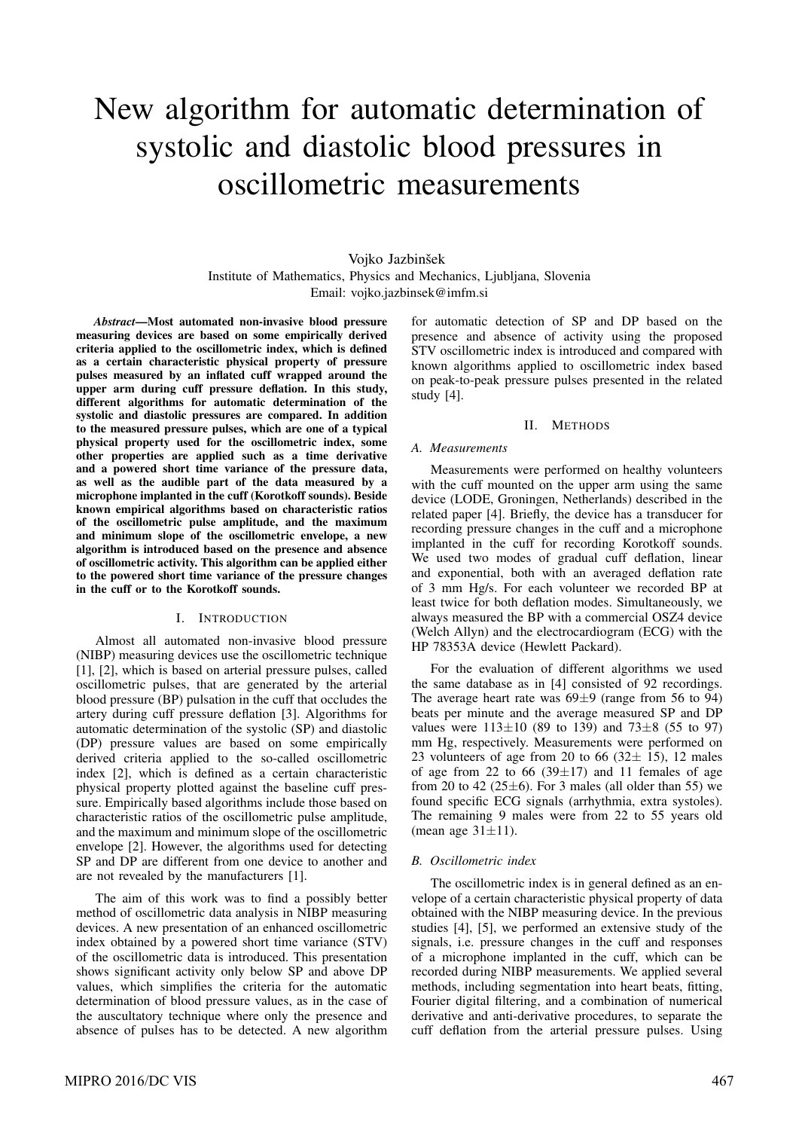# New algorithm for automatic determination of systolic and diastolic blood pressures in oscillometric measurements

# Vojko Jazbinšek Institute of Mathematics, Physics and Mechanics, Ljubljana, Slovenia Email: vojko.jazbinsek@imfm.si

*Abstract*—Most automated non-invasive blood pressure measuring devices are based on some empirically derived criteria applied to the oscillometric index, which is defined as a certain characteristic physical property of pressure pulses measured by an inflated cuff wrapped around the upper arm during cuff pressure deflation. In this study, different algorithms for automatic determination of the systolic and diastolic pressures are compared. In addition to the measured pressure pulses, which are one of a typical physical property used for the oscillometric index, some other properties are applied such as a time derivative and a powered short time variance of the pressure data, as well as the audible part of the data measured by a microphone implanted in the cuff (Korotkoff sounds). Beside known empirical algorithms based on characteristic ratios of the oscillometric pulse amplitude, and the maximum and minimum slope of the oscillometric envelope, a new algorithm is introduced based on the presence and absence of oscillometric activity. This algorithm can be applied either to the powered short time variance of the pressure changes in the cuff or to the Korotkoff sounds.

# I. INTRODUCTION

Almost all automated non-invasive blood pressure (NIBP) measuring devices use the oscillometric technique [1], [2], which is based on arterial pressure pulses, called oscillometric pulses, that are generated by the arterial blood pressure (BP) pulsation in the cuff that occludes the artery during cuff pressure deflation [3]. Algorithms for automatic determination of the systolic (SP) and diastolic (DP) pressure values are based on some empirically derived criteria applied to the so-called oscillometric index [2], which is defined as a certain characteristic physical property plotted against the baseline cuff pressure. Empirically based algorithms include those based on characteristic ratios of the oscillometric pulse amplitude, and the maximum and minimum slope of the oscillometric envelope [2]. However, the algorithms used for detecting SP and DP are different from one device to another and are not revealed by the manufacturers [1].

The aim of this work was to find a possibly better method of oscillometric data analysis in NIBP measuring devices. A new presentation of an enhanced oscillometric index obtained by a powered short time variance (STV) of the oscillometric data is introduced. This presentation shows significant activity only below SP and above DP values, which simplifies the criteria for the automatic determination of blood pressure values, as in the case of the auscultatory technique where only the presence and absence of pulses has to be detected. A new algorithm for automatic detection of SP and DP based on the presence and absence of activity using the proposed STV oscillometric index is introduced and compared with known algorithms applied to oscillometric index based on peak-to-peak pressure pulses presented in the related study [4].

### II. METHODS

#### *A. Measurements*

Measurements were performed on healthy volunteers with the cuff mounted on the upper arm using the same device (LODE, Groningen, Netherlands) described in the related paper [4]. Briefly, the device has a transducer for recording pressure changes in the cuff and a microphone implanted in the cuff for recording Korotkoff sounds. We used two modes of gradual cuff deflation, linear and exponential, both with an averaged deflation rate of 3 mm Hg/s. For each volunteer we recorded BP at least twice for both deflation modes. Simultaneously, we always measured the BP with a commercial OSZ4 device (Welch Allyn) and the electrocardiogram (ECG) with the HP 78353A device (Hewlett Packard).

For the evaluation of different algorithms we used the same database as in [4] consisted of 92 recordings. The average heart rate was  $69\pm9$  (range from 56 to 94) beats per minute and the average measured SP and DP values were  $113\pm 10$  (89 to 139) and  $73\pm 8$  (55 to 97) mm Hg, respectively. Measurements were performed on 23 volunteers of age from 20 to 66  $(32 \pm 15)$ , 12 males of age from 22 to 66 (39 $\pm$ 17) and 11 females of age from 20 to 42 ( $25\pm6$ ). For 3 males (all older than 55) we found specific ECG signals (arrhythmia, extra systoles). The remaining 9 males were from 22 to 55 years old (mean age  $31\pm11$ ).

#### *B. Oscillometric index*

The oscillometric index is in general defined as an envelope of a certain characteristic physical property of data obtained with the NIBP measuring device. In the previous studies [4], [5], we performed an extensive study of the signals, i.e. pressure changes in the cuff and responses of a microphone implanted in the cuff, which can be recorded during NIBP measurements. We applied several methods, including segmentation into heart beats, fitting, Fourier digital filtering, and a combination of numerical derivative and anti-derivative procedures, to separate the cuff deflation from the arterial pressure pulses. Using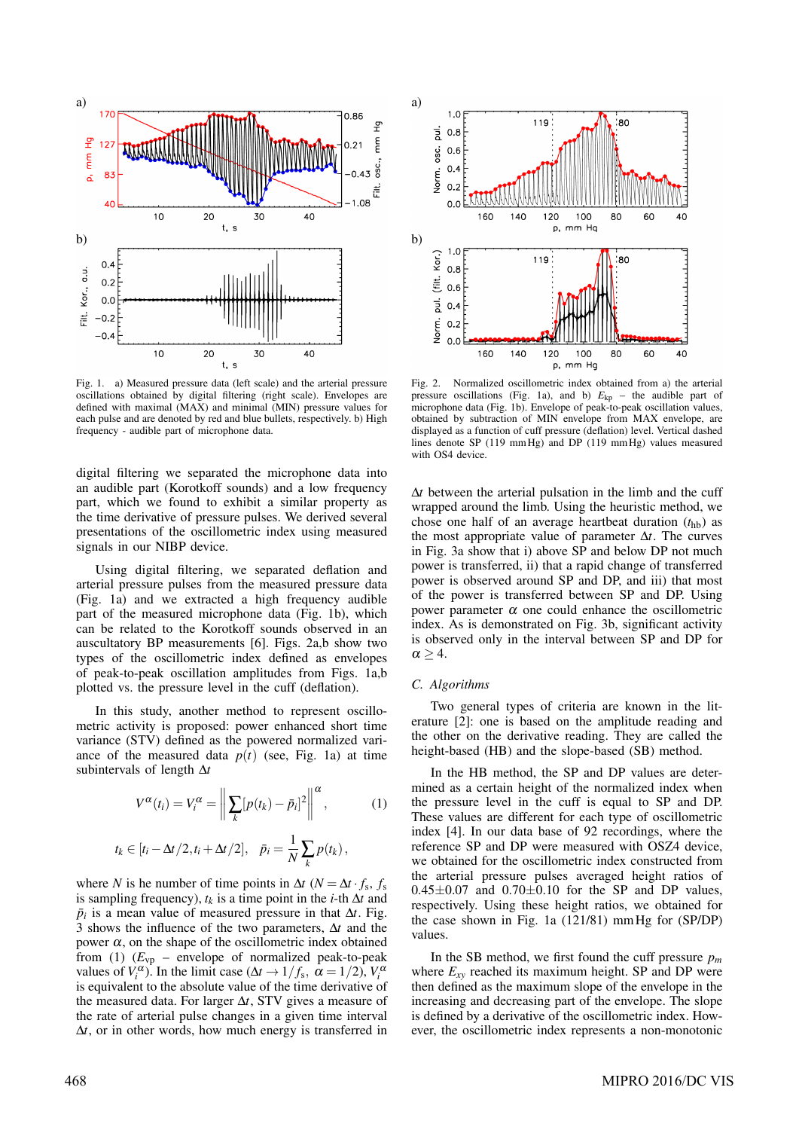

Fig. 1. a) Measured pressure data (left scale) and the arterial pressure oscillations obtained by digital filtering (right scale). Envelopes are defined with maximal (MAX) and minimal (MIN) pressure values for each pulse and are denoted by red and blue bullets, respectively. b) High frequency - audible part of microphone data.

digital filtering we separated the microphone data into an audible part (Korotkoff sounds) and a low frequency part, which we found to exhibit a similar property as the time derivative of pressure pulses. We derived several presentations of the oscillometric index using measured signals in our NIBP device.

Using digital filtering, we separated deflation and arterial pressure pulses from the measured pressure data (Fig. 1a) and we extracted a high frequency audible part of the measured microphone data (Fig. 1b), which can be related to the Korotkoff sounds observed in an auscultatory BP measurements [6]. Figs. 2a,b show two types of the oscillometric index defined as envelopes of peak-to-peak oscillation amplitudes from Figs. 1a,b plotted vs. the pressure level in the cuff (deflation).

In this study, another method to represent oscillometric activity is proposed: power enhanced short time variance (STV) defined as the powered normalized variance of the measured data  $p(t)$  (see, Fig. 1a) at time subintervals of length ∆*t*

$$
V^{\alpha}(t_i) = V_i^{\alpha} = \left\| \sum_k [p(t_k) - \bar{p}_i]^2 \right\|^{\alpha}, \tag{1}
$$

$$
t_k \in [t_i - \Delta t/2, t_i + \Delta t/2], \quad \bar{p}_i = \frac{1}{N} \sum_k p(t_k),
$$

where *N* is he number of time points in  $\Delta t$  ( $N = \Delta t \cdot f_s$ ,  $f_s$ is sampling frequency),  $t_k$  is a time point in the *i*-th  $\Delta t$  and  $\bar{p}_i$  is a mean value of measured pressure in that  $\Delta t$ . Fig. 3 shows the influence of the two parameters, ∆*t* and the power α, on the shape of the oscillometric index obtained from (1)  $(E_{vp}$  – envelope of normalized peak-to-peak values of  $V_i^{\alpha}$ ). In the limit case ( $\Delta t \rightarrow 1/f_s$ ,  $\alpha = 1/2$ ),  $V_i^{\alpha}$ is equivalent to the absolute value of the time derivative of the measured data. For larger ∆*t*, STV gives a measure of the rate of arterial pulse changes in a given time interval ∆*t*, or in other words, how much energy is transferred in



Fig. 2. Normalized oscillometric index obtained from a) the arterial pressure oscillations (Fig. 1a), and b)  $E_{kp}$  – the audible part of microphone data (Fig. 1b). Envelope of peak-to-peak oscillation values, obtained by subtraction of MIN envelope from MAX envelope, are displayed as a function of cuff pressure (deflation) level. Vertical dashed lines denote SP (119 mmHg) and DP (119 mmHg) values measured with OS4 device.

∆*t* between the arterial pulsation in the limb and the cuff wrapped around the limb. Using the heuristic method, we chose one half of an average heartbeat duration  $(t<sub>hb</sub>)$  as the most appropriate value of parameter ∆*t*. The curves in Fig. 3a show that i) above SP and below DP not much power is transferred, ii) that a rapid change of transferred power is observed around SP and DP, and iii) that most of the power is transferred between SP and DP. Using power parameter α one could enhance the oscillometric index. As is demonstrated on Fig. 3b, significant activity is observed only in the interval between SP and DP for  $\alpha > 4$ .

#### *C. Algorithms*

Two general types of criteria are known in the literature [2]: one is based on the amplitude reading and the other on the derivative reading. They are called the height-based (HB) and the slope-based (SB) method.

In the HB method, the SP and DP values are determined as a certain height of the normalized index when the pressure level in the cuff is equal to SP and DP. These values are different for each type of oscillometric index [4]. In our data base of 92 recordings, where the reference SP and DP were measured with OSZ4 device, we obtained for the oscillometric index constructed from the arterial pressure pulses averaged height ratios of  $0.45\pm0.07$  and  $0.70\pm0.10$  for the SP and DP values, respectively. Using these height ratios, we obtained for the case shown in Fig. 1a (121/81) mmHg for (SP/DP) values.

In the SB method, we first found the cuff pressure  $p_m$ where  $E_{xy}$  reached its maximum height. SP and DP were then defined as the maximum slope of the envelope in the increasing and decreasing part of the envelope. The slope is defined by a derivative of the oscillometric index. However, the oscillometric index represents a non-monotonic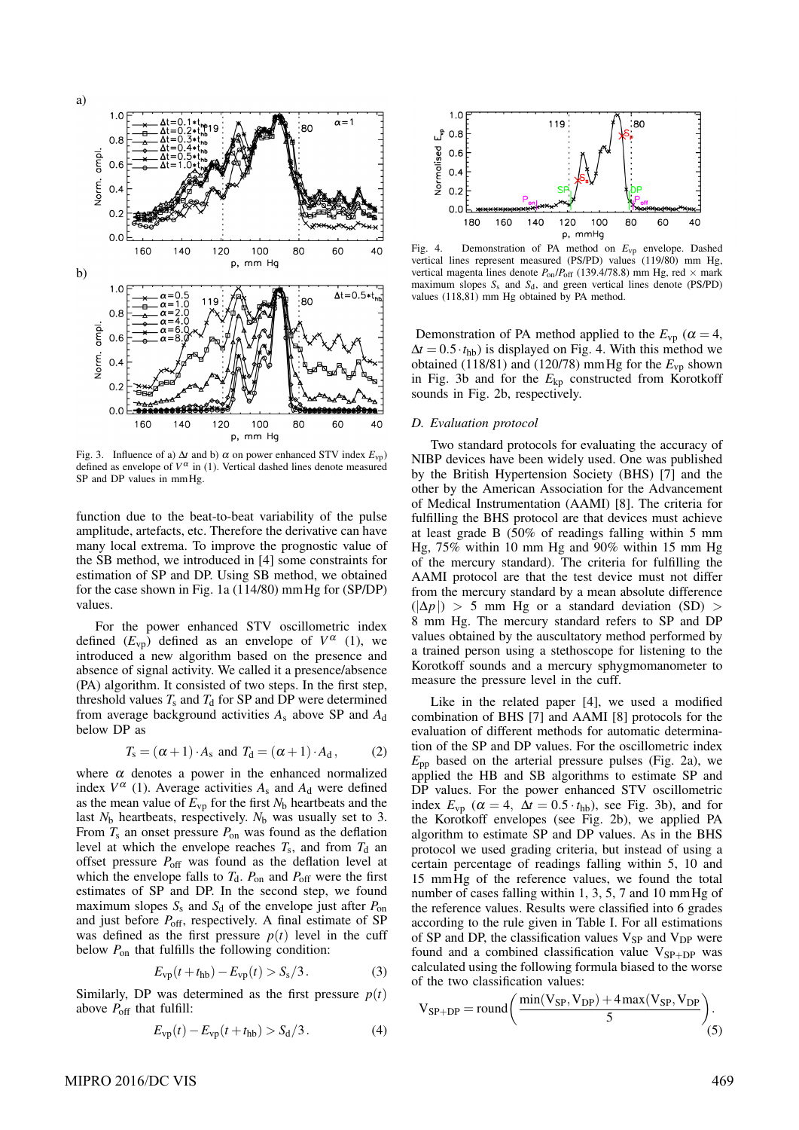

Fig. 3. Influence of a)  $\Delta t$  and b)  $\alpha$  on power enhanced STV index  $E_{vp}$ ) defined as envelope of  $V^{\alpha}$  in (1). Vertical dashed lines denote measured SP and DP values in mmHg.

function due to the beat-to-beat variability of the pulse amplitude, artefacts, etc. Therefore the derivative can have many local extrema. To improve the prognostic value of the SB method, we introduced in [4] some constraints for estimation of SP and DP. Using SB method, we obtained for the case shown in Fig. 1a (114/80) mmHg for (SP/DP) values.

For the power enhanced STV oscillometric index defined  $(E_{vp})$  defined as an envelope of  $V^{\alpha}$  (1), we introduced a new algorithm based on the presence and absence of signal activity. We called it a presence/absence (PA) algorithm. It consisted of two steps. In the first step, threshold values  $T_s$  and  $T_d$  for SP and DP were determined from average background activities *A*<sup>s</sup> above SP and *A*<sup>d</sup> below DP as

$$
T_s = (\alpha + 1) \cdot A_s \text{ and } T_d = (\alpha + 1) \cdot A_d, \quad (2)
$$

where  $\alpha$  denotes a power in the enhanced normalized index  $V^{\alpha}$  (1). Average activities  $A_s$  and  $A_d$  were defined as the mean value of  $E_{vp}$  for the first  $N_b$  heartbeats and the last  $N_b$  heartbeats, respectively.  $N_b$  was usually set to 3. From  $T_s$  an onset pressure  $P_{on}$  was found as the deflation level at which the envelope reaches  $T_s$ , and from  $T_d$  and offset pressure  $P_{\text{off}}$  was found as the deflation level at which the envelope falls to  $T<sub>d</sub>$ .  $P<sub>on</sub>$  and  $P<sub>off</sub>$  were the first estimates of SP and DP. In the second step, we found maximum slopes  $S_s$  and  $S_d$  of the envelope just after  $P_{on}$ and just before  $P_{\text{off}}$ , respectively. A final estimate of SP was defined as the first pressure  $p(t)$  level in the cuff below *P*on that fulfills the following condition:

$$
E_{\rm vp}(t + t_{\rm hb}) - E_{\rm vp}(t) > S_{\rm s}/3. \tag{3}
$$

Similarly, DP was determined as the first pressure  $p(t)$ above  $P_{\text{off}}$  that fulfill:

$$
E_{\rm vp}(t) - E_{\rm vp}(t + t_{\rm hb}) > S_{\rm d}/3. \tag{4}
$$



Fig. 4. Demonstration of PA method on  $E_{vp}$  envelope. Dashed vertical lines represent measured (PS/PD) values (119/80) mm Hg, vertical magenta lines denote  $P_{on}/P_{off}$  (139.4/78.8) mm Hg, red  $\times$  mark maximum slopes  $S_s$  and  $S_d$ , and green vertical lines denote (PS/PD) values (118,81) mm Hg obtained by PA method.

Demonstration of PA method applied to the  $E_{vp}$  ( $\alpha = 4$ ,  $\Delta t = 0.5 \cdot t_{\rm hb}$ ) is displayed on Fig. 4. With this method we obtained (118/81) and (120/78) mm Hg for the  $E_{\rm vp}$  shown in Fig. 3b and for the  $E_{kn}$  constructed from Korotkoff sounds in Fig. 2b, respectively.

#### *D. Evaluation protocol*

Two standard protocols for evaluating the accuracy of NIBP devices have been widely used. One was published by the British Hypertension Society (BHS) [7] and the other by the American Association for the Advancement of Medical Instrumentation (AAMI) [8]. The criteria for fulfilling the BHS protocol are that devices must achieve at least grade B (50% of readings falling within 5 mm Hg, 75% within 10 mm Hg and 90% within 15 mm Hg of the mercury standard). The criteria for fulfilling the AAMI protocol are that the test device must not differ from the mercury standard by a mean absolute difference  $(|\Delta p|) > 5$  mm Hg or a standard deviation (SD) > 8 mm Hg. The mercury standard refers to SP and DP values obtained by the auscultatory method performed by a trained person using a stethoscope for listening to the Korotkoff sounds and a mercury sphygmomanometer to measure the pressure level in the cuff.

Like in the related paper [4], we used a modified combination of BHS [7] and AAMI [8] protocols for the evaluation of different methods for automatic determination of the SP and DP values. For the oscillometric index  $E_{\text{pp}}$  based on the arterial pressure pulses (Fig. 2a), we applied the HB and SB algorithms to estimate SP and DP values. For the power enhanced STV oscillometric index  $E_{vp}$  ( $\alpha = 4$ ,  $\Delta t = 0.5 \cdot t_{hb}$ ), see Fig. 3b), and for the Korotkoff envelopes (see Fig. 2b), we applied PA algorithm to estimate SP and DP values. As in the BHS protocol we used grading criteria, but instead of using a certain percentage of readings falling within 5, 10 and 15 mmHg of the reference values, we found the total number of cases falling within 1, 3, 5, 7 and 10 mm Hg of the reference values. Results were classified into 6 grades according to the rule given in Table I. For all estimations of SP and DP, the classification values  $V_{SP}$  and  $V_{DP}$  were found and a combined classification value  $V_{SP+DP}$  was calculated using the following formula biased to the worse of the two classification values:

$$
V_{SP+DP} = round\bigg(\frac{min(V_{SP}, V_{DP}) + 4 max(V_{SP}, V_{DP})}{5}\bigg). \tag{5}
$$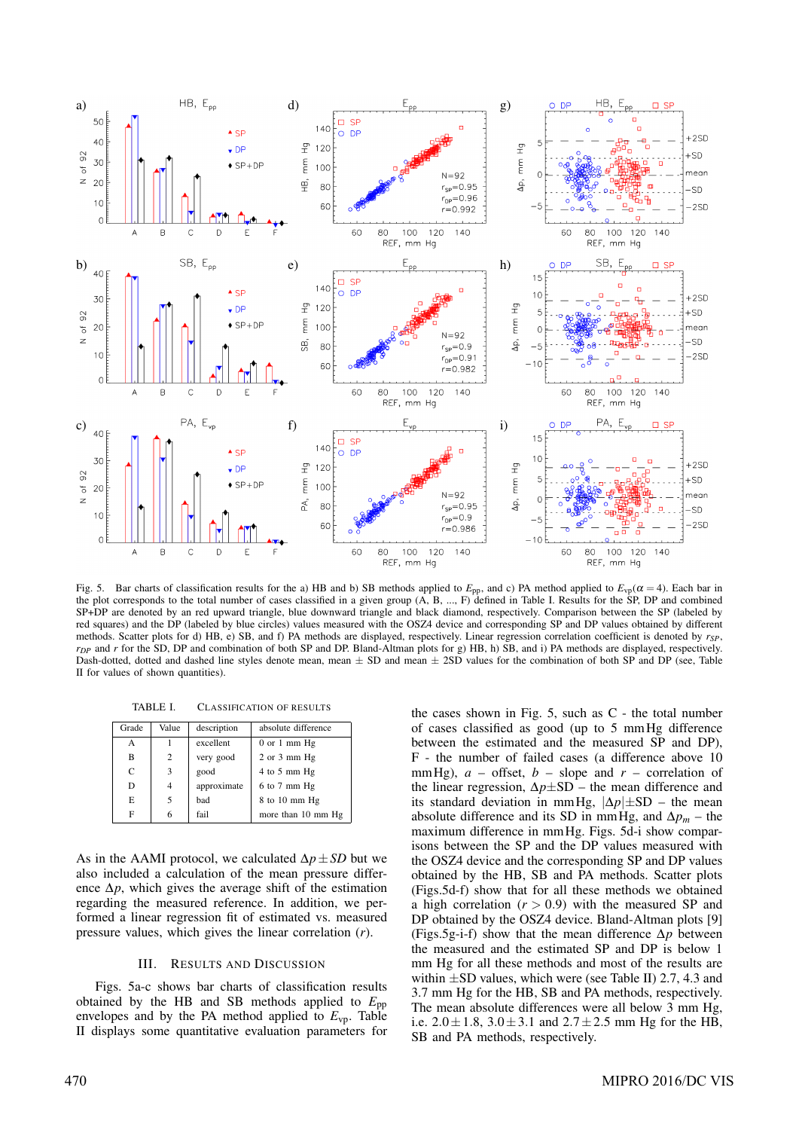

Fig. 5. Bar charts of classification results for the a) HB and b) SB methods applied to  $E_{\text{pp}}$ , and c) PA method applied to  $E_{\text{vp}}(\alpha = 4)$ . Each bar in the plot corresponds to the total number of cases classified in a given group (A, B, ..., F) defined in Table I. Results for the SP, DP and combined SP+DP are denoted by an red upward triangle, blue downward triangle and black diamond, respectively. Comparison between the SP (labeled by red squares) and the DP (labeled by blue circles) values measured with the OSZ4 device and corresponding SP and DP values obtained by different methods. Scatter plots for d) HB, e) SB, and f) PA methods are displayed, respectively. Linear regression correlation coefficient is denoted by *rSP*, *r*<sub>*DP</sub>* and *r* for the SD, DP and combination of both SP and DP. Bland-Altman plots for g) HB, h) SB, and i) PA methods are displayed, respectively.</sub> Dash-dotted, dotted and dashed line styles denote mean, mean  $\pm$  SD and mean  $\pm$  2SD values for the combination of both SP and DP (see, Table II for values of shown quantities).

TABLE I. CLASSIFICATION OF RESULTS

| Grade | Value | description | absolute difference |  |  |
|-------|-------|-------------|---------------------|--|--|
| А     |       | excellent   | $0$ or $1$ mm $Hg$  |  |  |
| B     | 2     | very good   | $2$ or $3$ mm $Hg$  |  |  |
| C     | 3     | good        | 4 to 5 mm Hg        |  |  |
| D     | 4     | approximate | $6$ to $7$ mm $Hg$  |  |  |
| E     | 5     | bad         | 8 to 10 mm Hg       |  |  |
| F     | 6     | fail        | more than 10 mm Hg  |  |  |

As in the AAMI protocol, we calculated ∆*p*±*SD* but we also included a calculation of the mean pressure difference  $\Delta p$ , which gives the average shift of the estimation regarding the measured reference. In addition, we performed a linear regression fit of estimated vs. measured pressure values, which gives the linear correlation (*r*).

## III. RESULTS AND DISCUSSION

Figs. 5a-c shows bar charts of classification results obtained by the HB and SB methods applied to *E*pp envelopes and by the PA method applied to  $E_{\text{vp}}$ . Table II displays some quantitative evaluation parameters for the cases shown in Fig. 5, such as C - the total number of cases classified as good (up to 5 mmHg difference between the estimated and the measured SP and DP), F - the number of failed cases (a difference above 10 mmHg),  $a$  – offset,  $b$  – slope and  $r$  – correlation of the linear regression, ∆*p*±SD – the mean difference and its standard deviation in mmHg,  $|\Delta p|$ ±SD – the mean absolute difference and its SD in mmHg, and  $\Delta p_m$  – the maximum difference in mmHg. Figs. 5d-i show comparisons between the SP and the DP values measured with the OSZ4 device and the corresponding SP and DP values obtained by the HB, SB and PA methods. Scatter plots (Figs.5d-f) show that for all these methods we obtained a high correlation  $(r > 0.9)$  with the measured SP and DP obtained by the OSZ4 device. Bland-Altman plots [9] (Figs.5g-i-f) show that the mean difference ∆*p* between the measured and the estimated SP and DP is below 1 mm Hg for all these methods and most of the results are within  $\pm$ SD values, which were (see Table II) 2.7, 4.3 and 3.7 mm Hg for the HB, SB and PA methods, respectively. The mean absolute differences were all below 3 mm Hg, i.e.  $2.0 \pm 1.8$ ,  $3.0 \pm 3.1$  and  $2.7 \pm 2.5$  mm Hg for the HB, SB and PA methods, respectively.